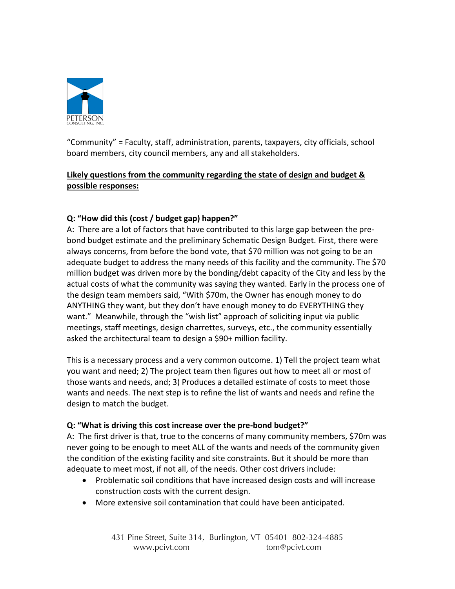

"Community" = Faculty, staff, administration, parents, taxpayers, city officials, school board members, city council members, any and all stakeholders.

# **Likely questions from the community regarding the state of design and budget & possible responses:**

# **Q: "How did this (cost / budget gap) happen?"**

A: There are a lot of factors that have contributed to this large gap between the prebond budget estimate and the preliminary Schematic Design Budget. First, there were always concerns, from before the bond vote, that \$70 million was not going to be an adequate budget to address the many needs of this facility and the community. The \$70 million budget was driven more by the bonding/debt capacity of the City and less by the actual costs of what the community was saying they wanted. Early in the process one of the design team members said, "With \$70m, the Owner has enough money to do ANYTHING they want, but they don't have enough money to do EVERYTHING they want." Meanwhile, through the "wish list" approach of soliciting input via public meetings, staff meetings, design charrettes, surveys, etc., the community essentially asked the architectural team to design a \$90+ million facility.

This is a necessary process and a very common outcome. 1) Tell the project team what you want and need; 2) The project team then figures out how to meet all or most of those wants and needs, and; 3) Produces a detailed estimate of costs to meet those wants and needs. The next step is to refine the list of wants and needs and refine the design to match the budget.

#### **Q: "What is driving this cost increase over the pre-bond budget?"**

A: The first driver is that, true to the concerns of many community members, \$70m was never going to be enough to meet ALL of the wants and needs of the community given the condition of the existing facility and site constraints. But it should be more than adequate to meet most, if not all, of the needs. Other cost drivers include:

- Problematic soil conditions that have increased design costs and will increase construction costs with the current design.
- More extensive soil contamination that could have been anticipated.